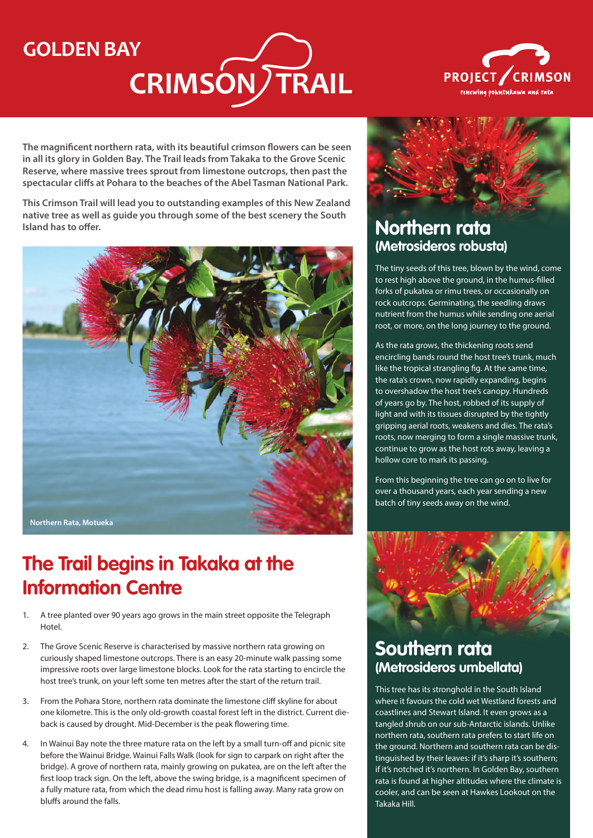# **GOLDEN BAY**

# **CRIMSON/TRAIL**



**The magnificent northern rata, with its beautiful crimson flowers can be seen in all its glory in Golden Bay. The Trail leads from Takaka to the Grove Scenic Reserve, where massive trees sprout from limestone outcrops, then past the spectacular cliffs at Pohara to the beaches of the Abel Tasman National Park.**

**This Crimson Trail will lead you to outstanding examples of this New Zealand native tree as well as guide you through some of the best scenery the South Island has to offer.**



# **The Trail begins in Takaka at the Information Centre**

- 1. A tree planted over 90 years ago grows in the main street opposite the Telegraph Hotel.
- 2. The Grove Scenic Reserve is characterised by massive northern rata growing on curiously shaped limestone outcrops. There is an easy 20-minute walk passing some impressive roots over large limestone blocks. Look for the rata starting to encircle the host tree's trunk, on your left some ten metres after the start of the return trail.
- 3. From the Pohara Store, northern rata dominate the limestone cliff skyline for about one kilometre. This is the only old-growth coastal forest left in the district. Current dieback is caused by drought. Mid-December is the peak flowering time.
- 4. In Wainui Bay note the three mature rata on the left by a small turn-off and picnic site before the Wainui Bridge. Wainui Falls Walk (look for sign to carpark on right after the bridge). A grove of northern rata, mainly growing on pukatea, are on the left after the first loop track sign. On the left, above the swing bridge, is a magnificent specimen of a fully mature rata, from which the dead rimu host is falling away. Many rata grow on bluffs around the falls.



## **Northern rata (Metrosideros robusta)**

The tiny seeds of this tree, blown by the wind, come to rest high above the ground, in the humus-filled forks of pukatea or rimu trees, or occasionally on rock outcrops. Germinating, the seedling draws nutrient from the humus while sending one aerial root, or more, on the long journey to the ground.

As the rata grows, the thickening roots send encircling bands round the host tree's trunk, much like the tropical strangling fig. At the same time, the rata's crown, now rapidly expanding, begins to overshadow the host tree's canopy. Hundreds of years go by. The host, robbed of its supply of light and with its tissues disrupted by the tightly gripping aerial roots, weakens and dies. The rata's roots, now merging to form a single massive trunk, continue to grow as the host rots away, leaving a hollow core to mark its passing.

From this beginning the tree can go on to live for over a thousand years, each year sending a new batch of tiny seeds away on the wind.



### **Southern rata (Metrosideros umbellata)**

This tree has its stronghold in the South Island where it favours the cold wet Westland forests and coastlines and Stewart Island. It even grows as a tangled shrub on our sub-Antarctic islands. Unlike northern rata, southern rata prefers to start life on the ground. Northern and southern rata can be distinguished by their leaves: if it's sharp it's southern; if it's notched it's northern. In Golden Bay, southern rata is found at higher altitudes where the climate is cooler, and can be seen at Hawkes Lookout on the Takaka Hill.